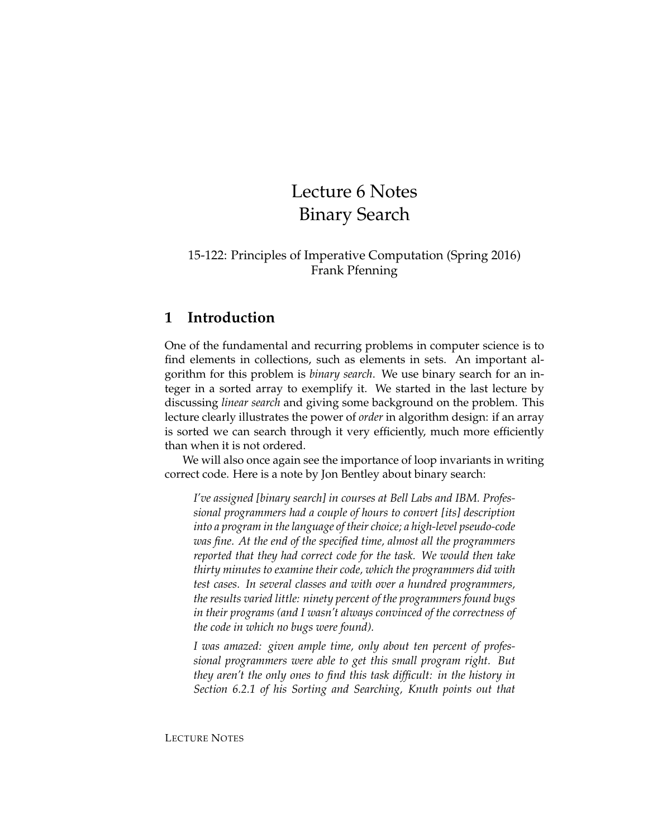# Lecture 6 Notes Binary Search

#### 15-122: Principles of Imperative Computation (Spring 2016) Frank Pfenning

### **1 Introduction**

One of the fundamental and recurring problems in computer science is to find elements in collections, such as elements in sets. An important algorithm for this problem is *binary search*. We use binary search for an integer in a sorted array to exemplify it. We started in the last lecture by discussing *linear search* and giving some background on the problem. This lecture clearly illustrates the power of *order* in algorithm design: if an array is sorted we can search through it very efficiently, much more efficiently than when it is not ordered.

We will also once again see the importance of loop invariants in writing correct code. Here is a note by Jon Bentley about binary search:

*I've assigned [binary search] in courses at Bell Labs and IBM. Professional programmers had a couple of hours to convert [its] description into a program in the language of their choice; a high-level pseudo-code was fine. At the end of the specified time, almost all the programmers reported that they had correct code for the task. We would then take thirty minutes to examine their code, which the programmers did with test cases. In several classes and with over a hundred programmers, the results varied little: ninety percent of the programmers found bugs in their programs (and I wasn't always convinced of the correctness of the code in which no bugs were found).*

*I was amazed: given ample time, only about ten percent of professional programmers were able to get this small program right. But they aren't the only ones to find this task difficult: in the history in Section 6.2.1 of his Sorting and Searching, Knuth points out that*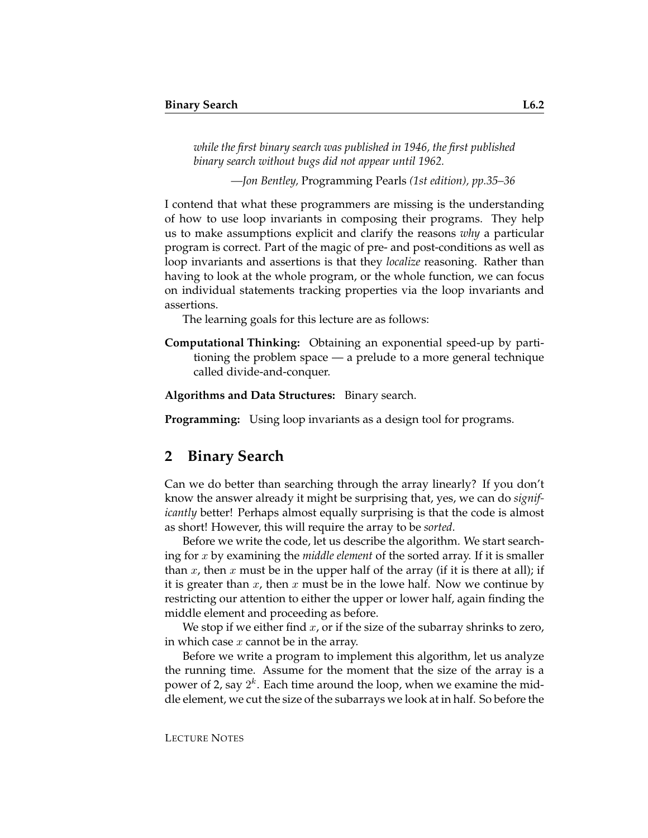*while the first binary search was published in 1946, the first published binary search without bugs did not appear until 1962.*

*—Jon Bentley,* Programming Pearls *(1st edition), pp.35–36*

I contend that what these programmers are missing is the understanding of how to use loop invariants in composing their programs. They help us to make assumptions explicit and clarify the reasons *why* a particular program is correct. Part of the magic of pre- and post-conditions as well as loop invariants and assertions is that they *localize* reasoning. Rather than having to look at the whole program, or the whole function, we can focus on individual statements tracking properties via the loop invariants and assertions.

The learning goals for this lecture are as follows:

**Computational Thinking:** Obtaining an exponential speed-up by partitioning the problem space — a prelude to a more general technique called divide-and-conquer.

**Algorithms and Data Structures:** Binary search.

**Programming:** Using loop invariants as a design tool for programs.

#### **2 Binary Search**

Can we do better than searching through the array linearly? If you don't know the answer already it might be surprising that, yes, we can do *significantly* better! Perhaps almost equally surprising is that the code is almost as short! However, this will require the array to be *sorted*.

Before we write the code, let us describe the algorithm. We start searching for x by examining the *middle element* of the sorted array. If it is smaller than x, then x must be in the upper half of the array (if it is there at all); if it is greater than  $x$ , then  $x$  must be in the lowe half. Now we continue by restricting our attention to either the upper or lower half, again finding the middle element and proceeding as before.

We stop if we either find  $x$ , or if the size of the subarray shrinks to zero, in which case  $x$  cannot be in the array.

Before we write a program to implement this algorithm, let us analyze the running time. Assume for the moment that the size of the array is a power of 2, say  $2^k$ . Each time around the loop, when we examine the middle element, we cut the size of the subarrays we look at in half. So before the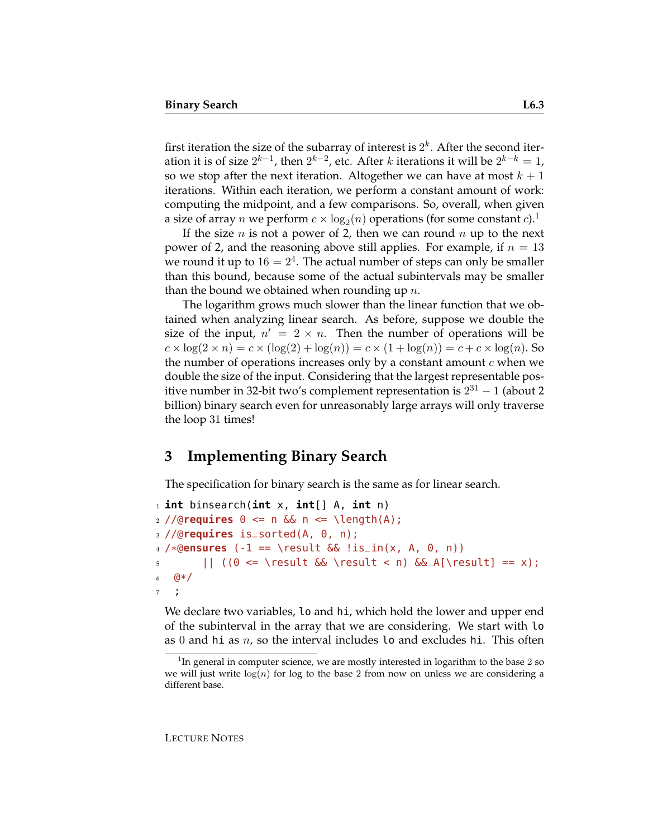first iteration the size of the subarray of interest is  $2^k$ . After the second iteration it is of size  $2^{k-1}$ , then  $2^{k-2}$ , etc. After  $k$  iterations it will be  $2^{k-k}=1$ , so we stop after the next iteration. Altogether we can have at most  $k + 1$ iterations. Within each iteration, we perform a constant amount of work: computing the midpoint, and a few comparisons. So, overall, when given a size of array  $n$  we perform  $c \times \log_2(n)$  operations (for some constant  $c$ ). $^1$  $^1$ 

If the size n is not a power of 2, then we can round n up to the next power of 2, and the reasoning above still applies. For example, if  $n = 13$ we round it up to  $16 = 2^4$ . The actual number of steps can only be smaller than this bound, because some of the actual subintervals may be smaller than the bound we obtained when rounding up  $n$ .

The logarithm grows much slower than the linear function that we obtained when analyzing linear search. As before, suppose we double the size of the input,  $n' = 2 \times n$ . Then the number of operations will be  $c \times \log(2 \times n) = c \times (\log(2) + \log(n)) = c \times (1 + \log(n)) = c + c \times \log(n)$ . So the number of operations increases only by a constant amount  $c$  when we double the size of the input. Considering that the largest representable positive number in 32-bit two's complement representation is  $2^{31}$  – 1 (about 2 billion) binary search even for unreasonably large arrays will only traverse the loop 31 times!

# **3 Implementing Binary Search**

The specification for binary search is the same as for linear search.

```
1 int binsearch(int x, int[] A, int n)
_2 //@requires \theta \leq n && n \leq \text{length}(A);
3 //@requires is_sorted(A, 0, n);
4 /*@ensures (-1 == \result && !is_in(x, A, 0, n))
5 || ((0 <= \result && \result < n) && A[\result] == x);
6 \frac{6}{7}7 ;
```
We declare two variables, lo and hi, which hold the lower and upper end of the subinterval in the array that we are considering. We start with lo as 0 and hi as  $n$ , so the interval includes 10 and excludes hi. This often

<span id="page-2-0"></span><sup>&</sup>lt;sup>1</sup>In general in computer science, we are mostly interested in logarithm to the base 2 so we will just write  $log(n)$  for log to the base 2 from now on unless we are considering a different base.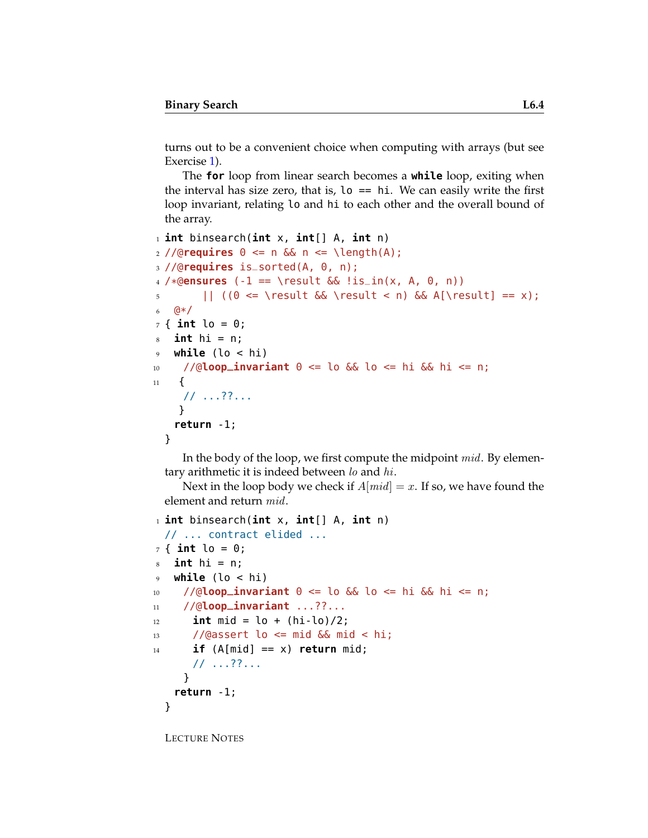turns out to be a convenient choice when computing with arrays (but see Exercise [1\)](#page-14-0).

The **for** loop from linear search becomes a **while** loop, exiting when the interval has size zero, that is,  $\log \theta = \sin \theta$ . We can easily write the first loop invariant, relating lo and hi to each other and the overall bound of the array.

```
1 int binsearch(int x, int[] A, int n)
2 //@requires 0 \le n && n \le \text{length}(A);
3 //@requires is_sorted(A, 0, n);
4 /*@ensures (-1 == \result && !is_in(x, A, 0, n))
5 || ((0 <= \result && \result < n) && A[\result] == x);
6 Q^*/7 { int lo = 0;
s int hi = n;
9 while (lo < hi)
10 //@loop_invariant 0 <= lo && lo <= hi && hi <= n;
11 \quad \text{f}// ...??...
    }
   return -1;
  }
```
In the body of the loop, we first compute the midpoint *mid*. By elementary arithmetic it is indeed between  $\ln \ln h$ .

Next in the loop body we check if  $A[mid] = x$ . If so, we have found the element and return mid.

```
1 int binsearch(int x, int[] A, int n)
 // ... contract elided ...
7 { int lo = 0;
s int hi = n;
9 while (lo < hi)
10 //@loop_invariant 0 <= lo && lo <= hi && hi <= n;
11 //@loop_invariant ...??...
_{12} int mid = lo + (hi-lo)/2;
13 //@assert lo <= mid && mid < hi;
14 if (A[mid] == x) return mid;
      // ...??...
    }
   return -1;
 }
```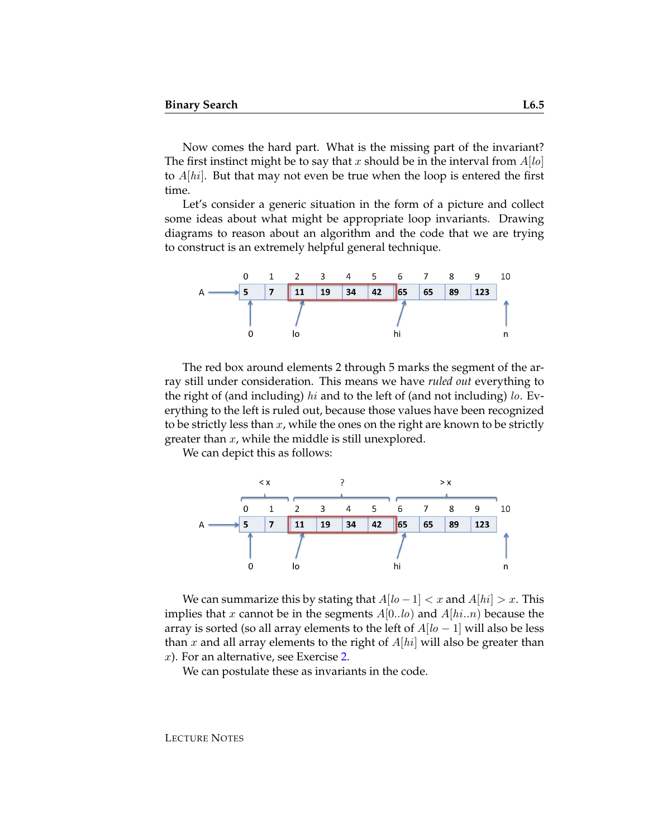Now comes the hard part. What is the missing part of the invariant? The first instinct might be to say that x should be in the interval from  $A[*lo*]$ to  $A[hi]$ . But that may not even be true when the loop is entered the first time.

Let's consider a generic situation in the form of a picture and collect some ideas about what might be appropriate loop invariants. Drawing diagrams to reason about an algorithm and the code that we are trying to construct is an extremely helpful general technique.



The red box around elements 2 through 5 marks the segment of the array still under consideration. This means we have *ruled out* everything to the right of (and including) hi and to the left of (and not including) lo. Everything to the left is ruled out, because those values have been recognized to be strictly less than  $x$ , while the ones on the right are known to be strictly greater than  $x$ , while the middle is still unexplored.

We can depict this as follows:



We can summarize this by stating that  $A[*lo* - 1] < *x*$  and  $A[*hi*] > *x*$ . This implies that x cannot be in the segments  $A[0..b)$  and  $A[hi..n]$  because the array is sorted (so all array elements to the left of  $A[*lo* - 1]$  will also be less than x and all array elements to the right of  $A[hi]$  will also be greater than  $x$ ). For an alternative, see Exercise [2.](#page-14-1)

We can postulate these as invariants in the code.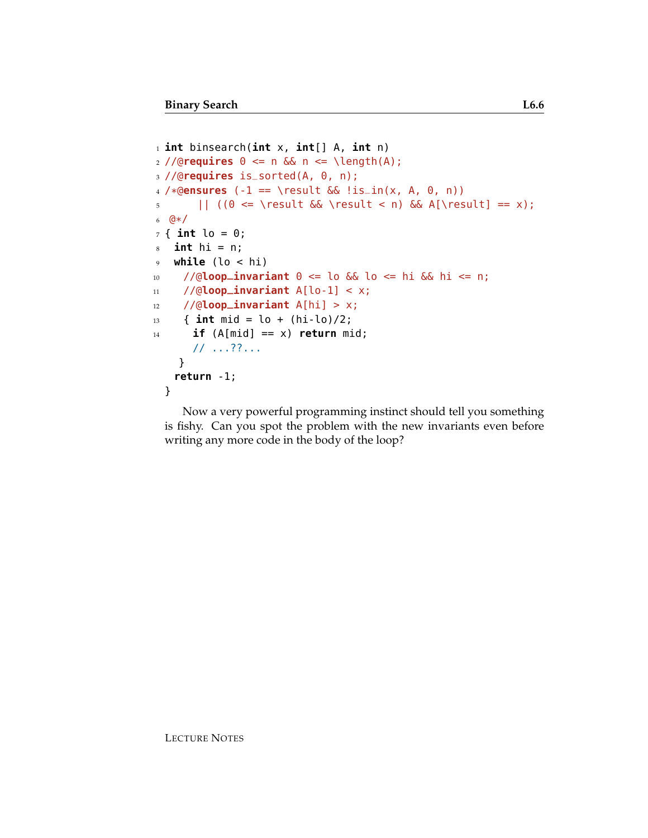```
1 int binsearch(int x, int[] A, int n)
2 //@requires 0 \le n && n \le \lambda length(A);
3 //@requires is_sorted(A, 0, n);
4 /*@ensures (-1 == \result && !is_in(x, A, 0, n))
\left| \right| ((0 <= \result && \result < n) && A[\result] == x);
6 @*/
7 { int lo = 0;
s int hi = n;
9 while (lo < hi)
10 //@loop_invariant 0 <= lo && lo <= hi && hi <= n;
11 //@loop_invariant A[lo-1] < x;
12 //@loop_invariant A[hi] > x;
13 { int mid = lo + (hi-lo)/2;
_{14} if (A[mid] == x) return mid;
      // ...??...
    }
   return -1;
 }
```
Now a very powerful programming instinct should tell you something is fishy. Can you spot the problem with the new invariants even before writing any more code in the body of the loop?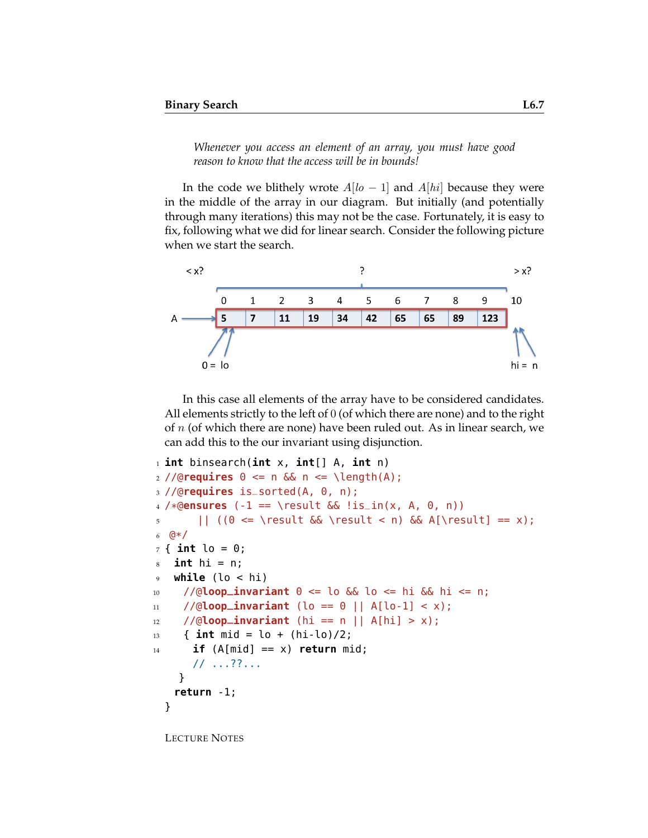*Whenever you access an element of an array, you must have good reason to know that the access will be in bounds!*

In the code we blithely wrote  $A[*lo* - 1]$  and  $A[*hi*]$  because they were in the middle of the array in our diagram. But initially (and potentially through many iterations) this may not be the case. Fortunately, it is easy to fix, following what we did for linear search. Consider the following picture when we start the search.



In this case all elements of the array have to be considered candidates. All elements strictly to the left of 0 (of which there are none) and to the right of  $n$  (of which there are none) have been ruled out. As in linear search, we can add this to the our invariant using disjunction.

```
1 int binsearch(int x, int[] A, int n)
2 //@requires 0 \le n & n \le \text{length}(A);
3 //@requires is_sorted(A, 0, n);
4 /*@ensures (-1 == \result && !is_in(x, A, 0, n))
\left| \right| ((0 <= \result && \result < n) && A[\result] == x);
6 @*/
7 { int lo = 0;
s int hi = n;
9 while (lo < hi)
10 //@loop_invariant 0 <= lo && lo <= hi && hi <= n;
11 //@loop_invariant (lo == \theta || A[lo-1] < x);
12 / (0loop_invariant (hi == n || A[hi] > x);
13 { int mid = lo + (hi-lo)/2;
_{14} if (A[mid] == x) return mid;
      // ...??...
    }
   return -1;
  }
```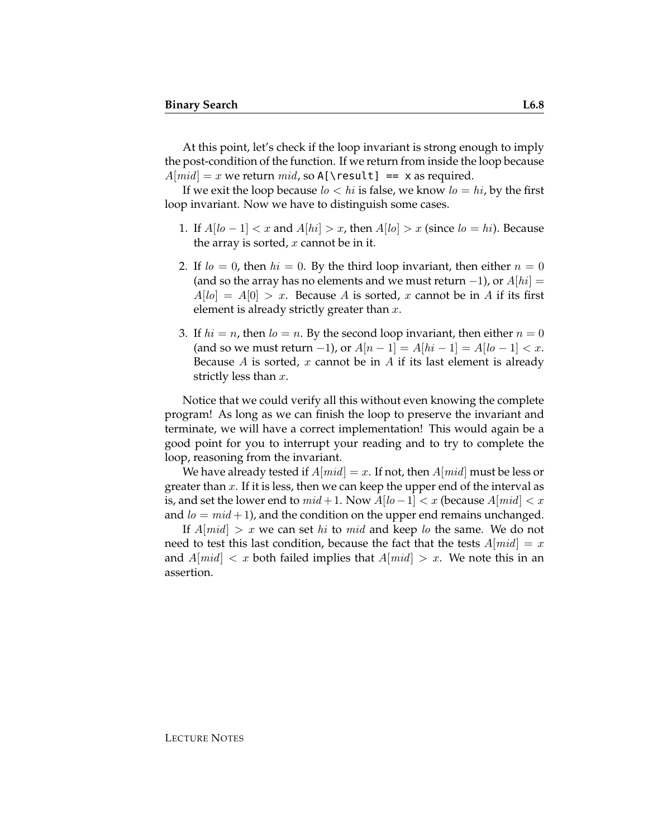At this point, let's check if the loop invariant is strong enough to imply the post-condition of the function. If we return from inside the loop because  $A[mid] = x$  we return  $mid$ , so A[\result] == x as required.

If we exit the loop because  $l_0 < h$  is false, we know  $l_0 = h$ *i*, by the first loop invariant. Now we have to distinguish some cases.

- 1. If  $A[10-1] < x$  and  $A[10] > x$ , then  $A[10] > x$  (since  $I_0 = I_1$ ). Because the array is sorted,  $x$  cannot be in it.
- 2. If  $l_0 = 0$ , then  $hi = 0$ . By the third loop invariant, then either  $n = 0$ (and so the array has no elements and we must return  $-1$ ), or  $A[hi] =$  $A[*lo*] = A[0] > x$ . Because A is sorted, x cannot be in A if its first element is already strictly greater than  $x$ .
- 3. If  $hi = n$ , then  $lo = n$ . By the second loop invariant, then either  $n = 0$ (and so we must return -1), or  $A[n-1] = A[hi-1] = A[10-1] < x$ . Because A is sorted, x cannot be in A if its last element is already strictly less than  $x$ .

Notice that we could verify all this without even knowing the complete program! As long as we can finish the loop to preserve the invariant and terminate, we will have a correct implementation! This would again be a good point for you to interrupt your reading and to try to complete the loop, reasoning from the invariant.

We have already tested if  $A[mid] = x$ . If not, then  $A[mid]$  must be less or greater than  $x$ . If it is less, then we can keep the upper end of the interval as is, and set the lower end to  $mid + 1$ . Now  $A[$ l $o-1]$  < x (because  $A[mid]$  < x and  $l_0 = mid + 1$ ), and the condition on the upper end remains unchanged.

If  $A$ [*mid*]  $> x$  we can set *hi* to *mid* and keep *lo* the same. We do not need to test this last condition, because the fact that the tests  $A[mid] = x$ and  $A[\text{mid}] < x$  both failed implies that  $A[\text{mid}] > x$ . We note this in an assertion.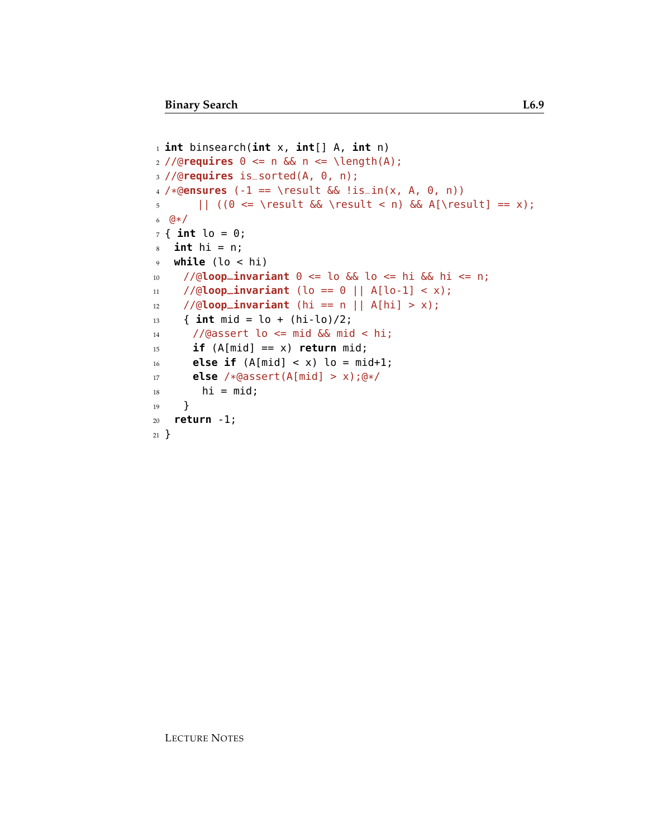```
1 int binsearch(int x, int[] A, int n)
2 //@requires 0 <= n && n <= \length(A);
3 //@requires is_sorted(A, 0, n);
4 /*@ensures (-1 == \result && !is_in(x, A, 0, n))
5 || ((0 <= \result && \result < n) && A[\result] == x);
6 @*/
7 { int lo = 0;
s int hi = n;
9 while (lo < hi)
10 //@loop_invariant 0 <= lo && lo <= hi && hi <= n;
11 //@loop_invariant (lo == 0 || A[lo-1] < x);
12 //@loop_invariant (hi == n || A[hi] > x);
13 { int mid = lo + (hi-lo)/2;
14 //@assert lo <= mid && mid < hi;
15 if (A[\text{mid}] == x) return mid;
16 else if (A[\text{mid}] < x) lo = mid+1;
17 else /*@assert(A[mid] > x);@*/
18 hi = mid;
19 }
20 return -1;
21 }
```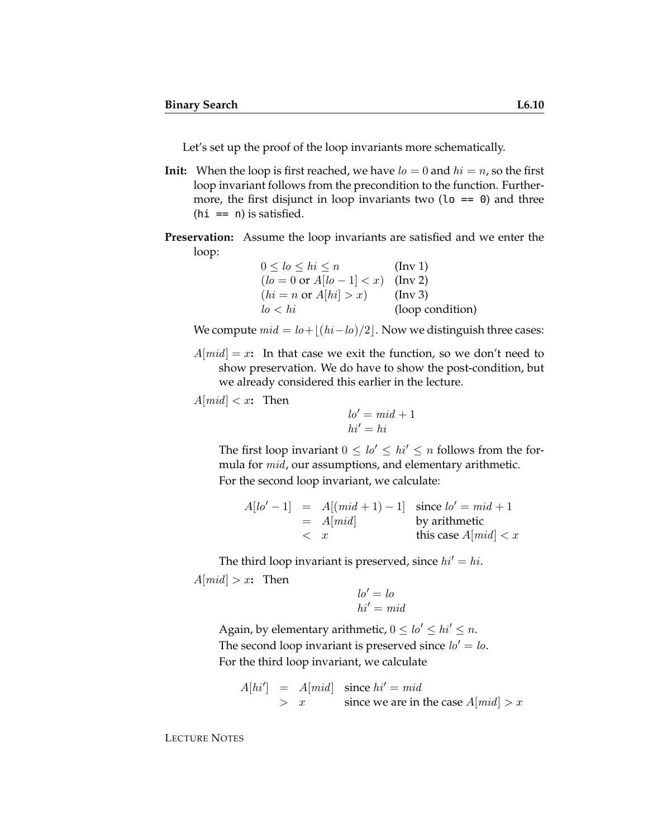Let's set up the proof of the loop invariants more schematically.

- **Init:** When the loop is first reached, we have  $l_0 = 0$  and  $hi = n$ , so the first loop invariant follows from the precondition to the function. Furthermore, the first disjunct in loop invariants two ( $\lambda = 0$ ) and three  $(hi == n)$  is satisfied.
- **Preservation:** Assume the loop invariants are satisfied and we enter the loop:

| $0 \leq lo \leq hi \leq n$                   | $(\ln v 1)$      |
|----------------------------------------------|------------------|
| $(lo = 0 \text{ or } A[lo - 1] < x)$ (Inv 2) |                  |
| $(hi = n \text{ or } A[hi] > x)$             | $(\ln v 3)$      |
| lo < hi                                      | (loop condition) |

We compute  $mid = lo+|(hi-lo)/2|$ . Now we distinguish three cases:

 $A[mid] = x$ : In that case we exit the function, so we don't need to show preservation. We do have to show the post-condition, but we already considered this earlier in the lecture.

 $A[mid] < x$ **:** Then

$$
lo' = mid + 1
$$

$$
hi' = hi
$$

The first loop invariant  $0 \leq lo' \leq hi' \leq n$  follows from the formula for mid, our assumptions, and elementary arithmetic. For the second loop invariant, we calculate:

$$
A[lo'-1] = A[(mid + 1) - 1] \text{ since } lo' = mid + 1
$$
  
= A[mid] by arithmetic  
 $< x$  this case A[mid]  $< x$ 

The third loop invariant is preserved, since  $hi' = hi$ .  $A[mid] > x$ **:** Then

$$
lo' = lo
$$
  

$$
hi' = mid
$$

Again, by elementary arithmetic,  $0 \leq lo' \leq hi' \leq n$ . The second loop invariant is preserved since  $lo' = lo$ . For the third loop invariant, we calculate

$$
A[hi'] = A[mid] \text{ since } hi' = mid
$$
  
> x since we are in the case  $A[mid] > x$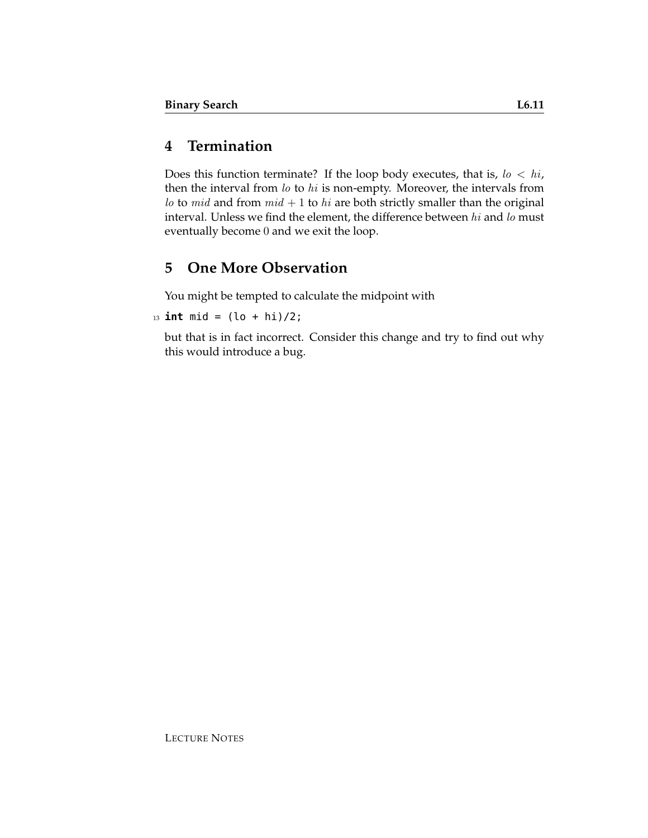# **4 Termination**

Does this function terminate? If the loop body executes, that is,  $\log h / \log h$ , then the interval from lo to hi is non-empty. Moreover, the intervals from lo to mid and from  $mid + 1$  to hi are both strictly smaller than the original interval. Unless we find the element, the difference between  $hi$  and  $lo$  must eventually become 0 and we exit the loop.

# **5 One More Observation**

You might be tempted to calculate the midpoint with

 $13$  **int** mid =  $(\ln + \ln)/2$ ;

but that is in fact incorrect. Consider this change and try to find out why this would introduce a bug.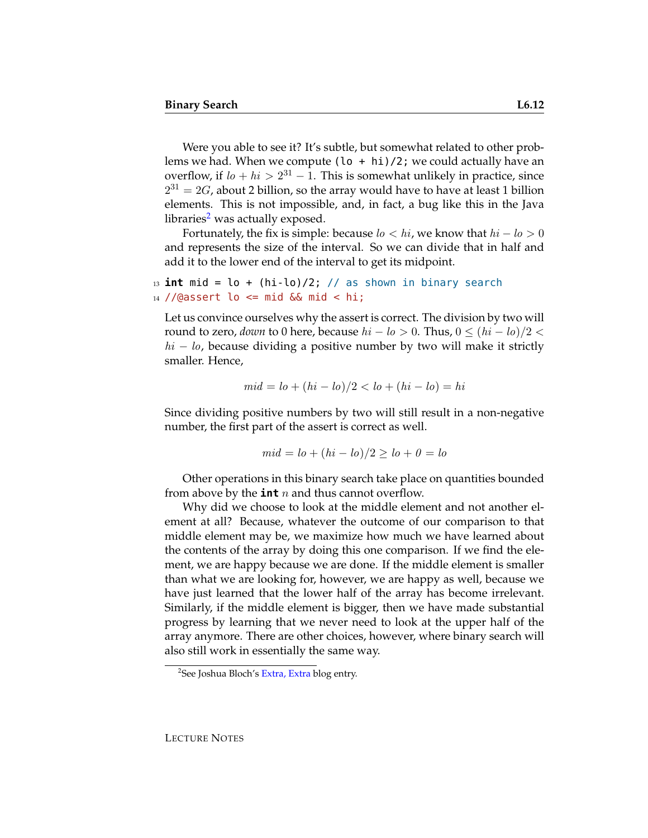Were you able to see it? It's subtle, but somewhat related to other problems we had. When we compute  $(\log h + h\mathbf{i})/2$ ; we could actually have an overflow, if  $l_0 + h_i > 2^{31} - 1$ . This is somewhat unlikely in practice, since  $2^{31} = 2G$ , about 2 billion, so the array would have to have at least 1 billion elements. This is not impossible, and, in fact, a bug like this in the Java libraries<sup>[2](#page-11-0)</sup> was actually exposed.

Fortunately, the fix is simple: because  $l_0 < h_i$ , we know that  $h_i - l_0 > 0$ and represents the size of the interval. So we can divide that in half and add it to the lower end of the interval to get its midpoint.

<sup>13</sup> **int** mid = lo + (hi-lo)/2; // as shown in binary search  $14$  //@assert lo <= mid && mid < hi;

Let us convince ourselves why the assert is correct. The division by two will round to zero, *down* to 0 here, because  $hi - lo > 0$ . Thus,  $0 \leq (hi - lo)/2 <$  $hi - lo$ , because dividing a positive number by two will make it strictly smaller. Hence,

$$
mid = lo + (hi - lo)/2 < lo + (hi - lo) = hi
$$

Since dividing positive numbers by two will still result in a non-negative number, the first part of the assert is correct as well.

$$
mid = lo + (hi - lo)/2 \ge lo + 0 = lo
$$

Other operations in this binary search take place on quantities bounded from above by the **int**  $n$  and thus cannot overflow.

Why did we choose to look at the middle element and not another element at all? Because, whatever the outcome of our comparison to that middle element may be, we maximize how much we have learned about the contents of the array by doing this one comparison. If we find the element, we are happy because we are done. If the middle element is smaller than what we are looking for, however, we are happy as well, because we have just learned that the lower half of the array has become irrelevant. Similarly, if the middle element is bigger, then we have made substantial progress by learning that we never need to look at the upper half of the array anymore. There are other choices, however, where binary search will also still work in essentially the same way.

<span id="page-11-0"></span><sup>&</sup>lt;sup>2</sup>See Joshua Bloch's [Extra, Extra](http://googleresearch.blogspot.com/2006/06/extra-extra-read-all-about-it-nearly.html) blog entry.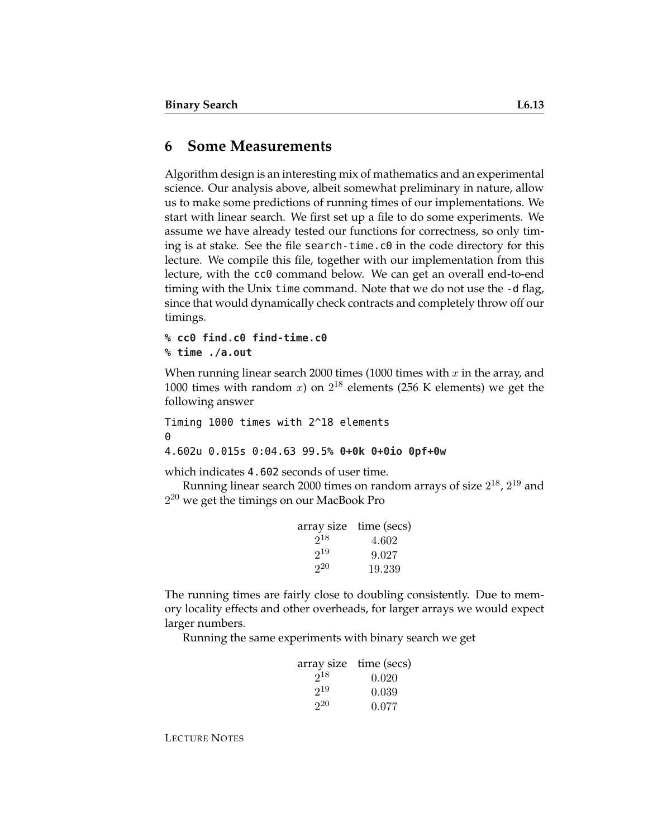#### **6 Some Measurements**

Algorithm design is an interesting mix of mathematics and an experimental science. Our analysis above, albeit somewhat preliminary in nature, allow us to make some predictions of running times of our implementations. We start with linear search. We first set up a file to do some experiments. We assume we have already tested our functions for correctness, so only timing is at stake. See the file search-time.c0 in the code directory for this lecture. We compile this file, together with our implementation from this lecture, with the cc0 command below. We can get an overall end-to-end timing with the Unix time command. Note that we do not use the -d flag, since that would dynamically check contracts and completely throw off our timings.

#### **% cc0 find.c0 find-time.c0 % time ./a.out**

When running linear search 2000 times (1000 times with  $x$  in the array, and 1000 times with random  $x$ ) on  $2^{18}$  elements (256 K elements) we get the following answer

Timing 1000 times with 2^18 elements 0 4.602u 0.015s 0:04.63 99.5**% 0+0k 0+0io 0pf+0w**

which indicates 4.602 seconds of user time.

Running linear search 2000 times on random arrays of size  $2^{18}$ ,  $2^{19}$  and  $2^{20}$  we get the timings on our MacBook Pro

|          | array size time (secs) |
|----------|------------------------|
| $2^{18}$ | 4.602                  |
| $2^{19}$ | 9.027                  |
| $2^{20}$ | 19.239                 |

The running times are fairly close to doubling consistently. Due to memory locality effects and other overheads, for larger arrays we would expect larger numbers.

Running the same experiments with binary search we get

|          | array size time (secs) |
|----------|------------------------|
| $2^{18}$ | 0.020                  |
| $2^{19}$ | 0.039                  |
| $2^{20}$ | 0.077                  |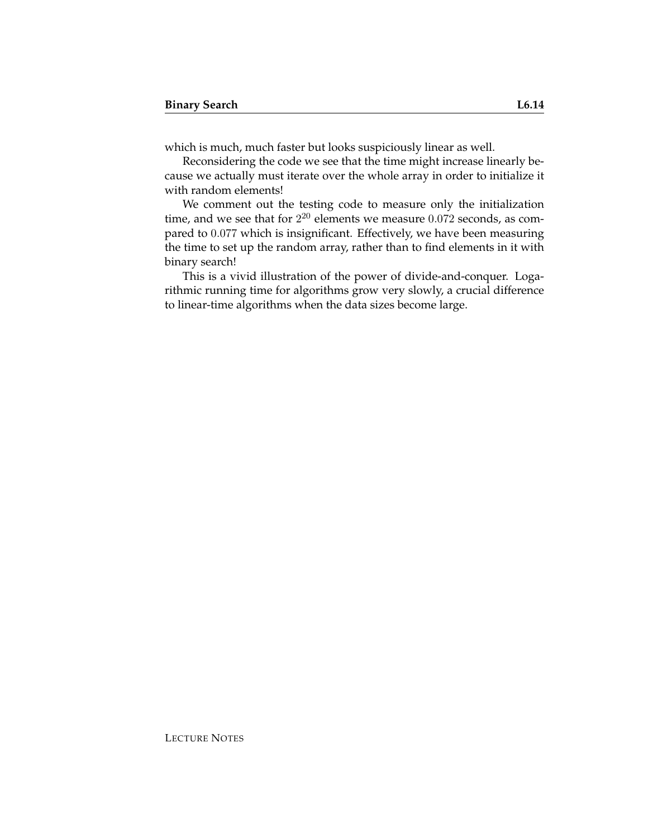which is much, much faster but looks suspiciously linear as well.

Reconsidering the code we see that the time might increase linearly because we actually must iterate over the whole array in order to initialize it with random elements!

We comment out the testing code to measure only the initialization time, and we see that for  $2^{20}$  elements we measure  $0.072$  seconds, as compared to 0.077 which is insignificant. Effectively, we have been measuring the time to set up the random array, rather than to find elements in it with binary search!

This is a vivid illustration of the power of divide-and-conquer. Logarithmic running time for algorithms grow very slowly, a crucial difference to linear-time algorithms when the data sizes become large.